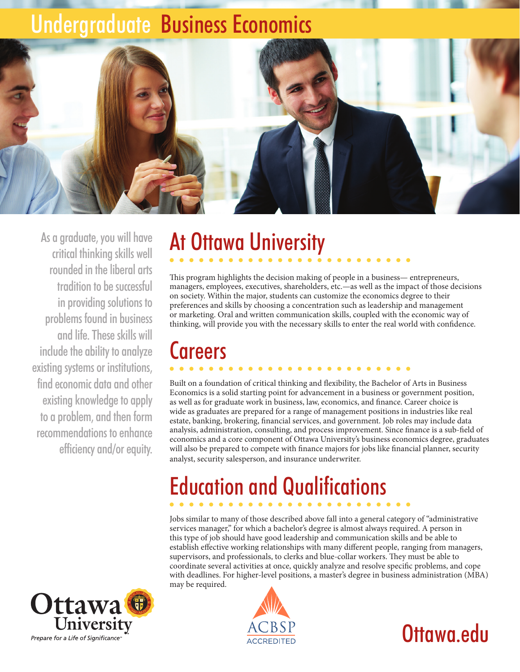## Undergraduate Business Economics



As a graduate, you will have critical thinking skills well rounded in the liberal arts tradition to be successful in providing solutions to problems found in business and life. These skills will include the ability to analyze existing systems or institutions, find economic data and other existing knowledge to apply to a problem, and then form recommendations to enhance efficiency and/or equity.

# At Ottawa University

This program highlights the decision making of people in a business— entrepreneurs, managers, employees, executives, shareholders, etc.—as well as the impact of those decisions on society. Within the major, students can customize the economics degree to their preferences and skills by choosing a concentration such as leadership and management or marketing. Oral and written communication skills, coupled with the economic way of thinking, will provide you with the necessary skills to enter the real world with confidence.

## **Careers**

Built on a foundation of critical thinking and flexibility, the Bachelor of Arts in Business Economics is a solid starting point for advancement in a business or government position, as well as for graduate work in business, law, economics, and finance. Career choice is wide as graduates are prepared for a range of management positions in industries like real estate, banking, brokering, financial services, and government. Job roles may include data analysis, administration, consulting, and process improvement. Since finance is a sub-field of economics and a core component of Ottawa University's business economics degree, graduates will also be prepared to compete with finance majors for jobs like financial planner, security analyst, security salesperson, and insurance underwriter.

# Education and Qualifications

Jobs similar to many of those described above fall into a general category of "administrative services manager," for which a bachelor's degree is almost always required. A person in this type of job should have good leadership and communication skills and be able to establish effective working relationships with many different people, ranging from managers, supervisors, and professionals, to clerks and blue-collar workers. They must be able to coordinate several activities at once, quickly analyze and resolve specific problems, and cope with deadlines. For higher-level positions, a master's degree in business administration (MBA) may be required.